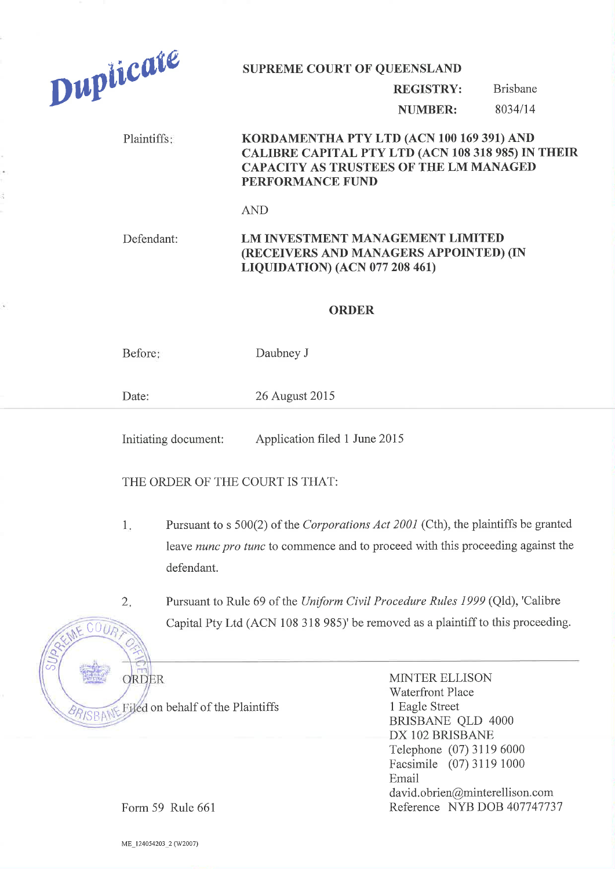

## REGISTRY: Brisbane

NUMBER: 8034/14

## Plaintiffs: **KORDAMENTHA PTY LTD (ACN 100 169 391) AND** CALTBRE CAPTTAL PTY LTD (ACN 108 318 98s) IN THEIR CAPACITY AS TRUSTEES OF THE LM MANAGED PERFORMANCE FUND

AND

## Defendant: LM INVESTMENT MANAGEMENT LIMITED (RECEIVERS AND MANAGERS APPOINTED) (IN LTQUTDATTON) (ACN 077 208 461)

## ORDER

Before: Daubney J

Date: 26 August 2015

Initiating document: Application filed 1 June 2015

THE ORDER OF THE COURT IS THAT:

- Pursuant to s 500(2) of the Corporations Act 2001 (Cth), the plaintiffs be granted leave nunc pro tunc to commence and to proceed with this proceeding against the defendant. 1
- 2 Pursuant to Rule 69 of the Uniform Civil Procedure Rules 1999 (Qld), 'Calibre Capital Pty Ltd (ACN 108 318 985)' be removed as a plaintiff to this proceeding.

 $C006$  $\triangle$  $\circ$ ORDER Filed on behalf of the Plaintiffs dd

MINTER ELLISON 'Waterfront Place 1 Eagle Street BRISBANE QLD 4000 DX IO2 BRISBANE Telephone (07) 31 19 6000 Facsimile (07) 3119 1000 Email david. obrien@minterellison. com Reference NYB DOB 407747737

Form 59 Rule 661

ME\_124054203\_2 (W2007)